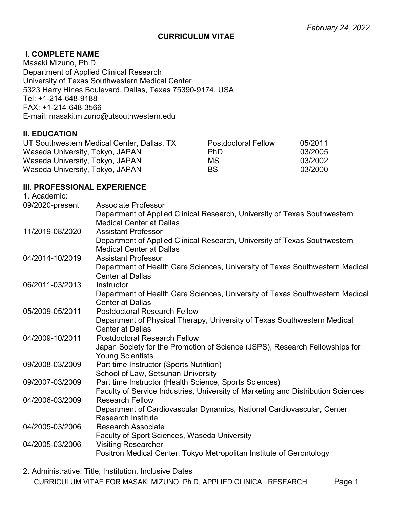#### CURRICULUM VITAE

#### I. COMPLETE NAME

Masaki Mizuno, Ph.D. Department of Applied Clinical Research University of Texas Southwestern Medical Center 5323 Harry Hines Boulevard, Dallas, Texas 75390-9174, USA Tel: +1-214-648-9188 FAX: +1-214-648-3566 E-mail: masaki.mizuno@utsouthwestern.edu

#### II. EDUCATION

| UT Southwestern Medical Center, Dallas, TX | <b>Postdoctoral Fellow</b> | 05/2011 |
|--------------------------------------------|----------------------------|---------|
| Waseda University, Tokyo, JAPAN            | PhD.                       | 03/2005 |
| Waseda University, Tokyo, JAPAN            | МS                         | 03/2002 |
| Waseda University, Tokyo, JAPAN            | BS.                        | 03/2000 |

#### III. PROFESSIONAL EXPERIENCE

| 1. Academic:    |                                                                                                              |
|-----------------|--------------------------------------------------------------------------------------------------------------|
| 09/2020-present | <b>Associate Professor</b>                                                                                   |
|                 | Department of Applied Clinical Research, University of Texas Southwestern<br><b>Medical Center at Dallas</b> |
| 11/2019-08/2020 | <b>Assistant Professor</b>                                                                                   |
|                 | Department of Applied Clinical Research, University of Texas Southwestern<br><b>Medical Center at Dallas</b> |
| 04/2014-10/2019 | <b>Assistant Professor</b>                                                                                   |
|                 | Department of Health Care Sciences, University of Texas Southwestern Medical<br><b>Center at Dallas</b>      |
| 06/2011-03/2013 | Instructor                                                                                                   |
|                 | Department of Health Care Sciences, University of Texas Southwestern Medical<br><b>Center at Dallas</b>      |
| 05/2009-05/2011 | <b>Postdoctoral Research Fellow</b>                                                                          |
|                 | Department of Physical Therapy, University of Texas Southwestern Medical                                     |
|                 | <b>Center at Dallas</b>                                                                                      |
| 04/2009-10/2011 | <b>Postdoctoral Research Fellow</b>                                                                          |
|                 | Japan Society for the Promotion of Science (JSPS), Research Fellowships for<br><b>Young Scientists</b>       |
| 09/2008-03/2009 | Part time Instructor (Sports Nutrition)                                                                      |
|                 | School of Law, Setsunan University                                                                           |
| 09/2007-03/2009 | Part time Instructor (Health Science, Sports Sciences)                                                       |
|                 | Faculty of Service Industries, University of Marketing and Distribution Sciences                             |
| 04/2006-03/2009 | <b>Research Fellow</b>                                                                                       |
|                 | Department of Cardiovascular Dynamics, National Cardiovascular, Center<br><b>Research Institute</b>          |
| 04/2005-03/2006 | <b>Research Associate</b>                                                                                    |
|                 | <b>Faculty of Sport Sciences, Waseda University</b>                                                          |
| 04/2005-03/2006 | <b>Visiting Researcher</b>                                                                                   |
|                 | Positron Medical Center, Tokyo Metropolitan Institute of Gerontology                                         |

CURRICULUM VITAE FOR MASAKI MIZUNO, Ph.D, APPLIED CLINICAL RESEARCH Page 1 2. Administrative: Title, Institution, Inclusive Dates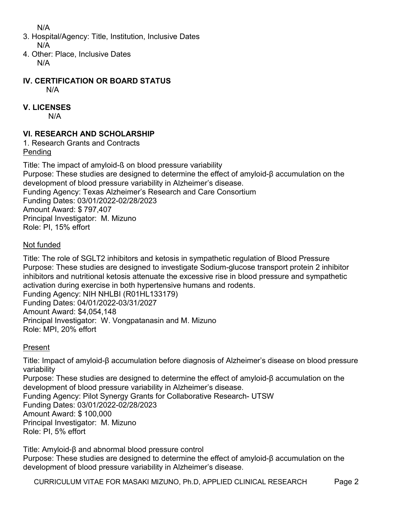N/A

- 3. Hospital/Agency: Title, Institution, Inclusive Dates N/A
- 4. Other: Place, Inclusive Dates N/A

IV. CERTIFICATION OR BOARD STATUS

N/A

## V. LICENSES

N/A

## VI. RESEARCH AND SCHOLARSHIP

1. Research Grants and Contracts Pending

Title: The impact of amyloid-ß on blood pressure variability Purpose: These studies are designed to determine the effect of amyloid-β accumulation on the development of blood pressure variability in Alzheimer's disease. Funding Agency: Texas Alzheimer's Research and Care Consortium Funding Dates: 03/01/2022-02/28/2023 Amount Award: \$ 797,407 Principal Investigator: M. Mizuno Role: PI, 15% effort

### Not funded

Title: The role of SGLT2 inhibitors and ketosis in sympathetic regulation of Blood Pressure Purpose: These studies are designed to investigate Sodium-glucose transport protein 2 inhibitor inhibitors and nutritional ketosis attenuate the excessive rise in blood pressure and sympathetic activation during exercise in both hypertensive humans and rodents. Funding Agency: NIH NHLBI (R01HL133179) Funding Dates: 04/01/2022-03/31/2027 Amount Award: \$4,054,148 Principal Investigator: W. Vongpatanasin and M. Mizuno

## Present

Role: MPI, 20% effort

Title: Impact of amyloid-β accumulation before diagnosis of Alzheimer's disease on blood pressure variability Purpose: These studies are designed to determine the effect of amyloid-β accumulation on the development of blood pressure variability in Alzheimer's disease. Funding Agency: Pilot Synergy Grants for Collaborative Research- UTSW Funding Dates: 03/01/2022-02/28/2023 Amount Award: \$ 100,000 Principal Investigator: M. Mizuno Role: PI, 5% effort

Title: Amyloid-β and abnormal blood pressure control Purpose: These studies are designed to determine the effect of amyloid-β accumulation on the development of blood pressure variability in Alzheimer's disease.

CURRICULUM VITAE FOR MASAKI MIZUNO, Ph.D, APPLIED CLINICAL RESEARCH Page 2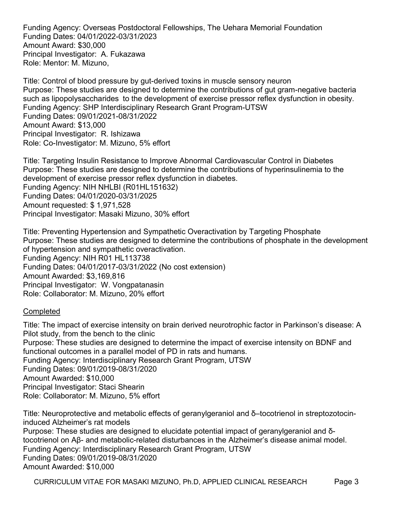Funding Agency: Overseas Postdoctoral Fellowships, The Uehara Memorial Foundation Funding Dates: 04/01/2022-03/31/2023 Amount Award: \$30,000 Principal Investigator: A. Fukazawa Role: Mentor: M. Mizuno,

Title: Control of blood pressure by gut-derived toxins in muscle sensory neuron Purpose: These studies are designed to determine the contributions of gut gram-negative bacteria such as lipopolysaccharides to the development of exercise pressor reflex dysfunction in obesity. Funding Agency: SHP Interdisciplinary Research Grant Program-UTSW Funding Dates: 09/01/2021-08/31/2022 Amount Award: \$13,000 Principal Investigator: R. Ishizawa Role: Co-Investigator: M. Mizuno, 5% effort

Title: Targeting Insulin Resistance to Improve Abnormal Cardiovascular Control in Diabetes Purpose: These studies are designed to determine the contributions of hyperinsulinemia to the development of exercise pressor reflex dysfunction in diabetes. Funding Agency: NIH NHLBI (R01HL151632) Funding Dates: 04/01/2020-03/31/2025 Amount requested: \$ 1,971,528 Principal Investigator: Masaki Mizuno, 30% effort

Title: Preventing Hypertension and Sympathetic Overactivation by Targeting Phosphate Purpose: These studies are designed to determine the contributions of phosphate in the development of hypertension and sympathetic overactivation. Funding Agency: NIH R01 HL113738 Funding Dates: 04/01/2017-03/31/2022 (No cost extension) Amount Awarded: \$3,169,816 Principal Investigator: W. Vongpatanasin Role: Collaborator: M. Mizuno, 20% effort

#### **Completed**

Title: The impact of exercise intensity on brain derived neurotrophic factor in Parkinson's disease: A Pilot study, from the bench to the clinic Purpose: These studies are designed to determine the impact of exercise intensity on BDNF and functional outcomes in a parallel model of PD in rats and humans. Funding Agency: Interdisciplinary Research Grant Program, UTSW Funding Dates: 09/01/2019-08/31/2020 Amount Awarded: \$10,000 Principal Investigator: Staci Shearin Role: Collaborator: M. Mizuno, 5% effort

Title: Neuroprotective and metabolic effects of geranylgeraniol and δ–tocotrienol in streptozotocininduced Alzheimer's rat models Purpose: These studies are designed to elucidate potential impact of geranylgeraniol and δtocotrienol on Aβ- and metabolic-related disturbances in the Alzheimer's disease animal model. Funding Agency: Interdisciplinary Research Grant Program, UTSW Funding Dates: 09/01/2019-08/31/2020 Amount Awarded: \$10,000

CURRICULUM VITAE FOR MASAKI MIZUNO, Ph.D, APPLIED CLINICAL RESEARCH Page 3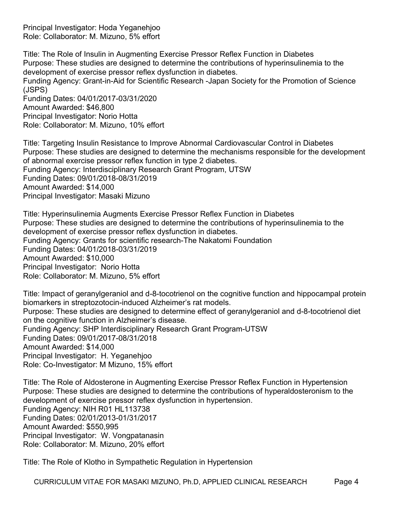Principal Investigator: Hoda Yeganehjoo Role: Collaborator: M. Mizuno, 5% effort

Title: The Role of Insulin in Augmenting Exercise Pressor Reflex Function in Diabetes Purpose: These studies are designed to determine the contributions of hyperinsulinemia to the development of exercise pressor reflex dysfunction in diabetes. Funding Agency: Grant-in-Aid for Scientific Research -Japan Society for the Promotion of Science (JSPS) Funding Dates: 04/01/2017-03/31/2020 Amount Awarded: \$46,800 Principal Investigator: Norio Hotta Role: Collaborator: M. Mizuno, 10% effort

Title: Targeting Insulin Resistance to Improve Abnormal Cardiovascular Control in Diabetes Purpose: These studies are designed to determine the mechanisms responsible for the development of abnormal exercise pressor reflex function in type 2 diabetes. Funding Agency: Interdisciplinary Research Grant Program, UTSW Funding Dates: 09/01/2018-08/31/2019 Amount Awarded: \$14,000 Principal Investigator: Masaki Mizuno

Title: Hyperinsulinemia Augments Exercise Pressor Reflex Function in Diabetes Purpose: These studies are designed to determine the contributions of hyperinsulinemia to the development of exercise pressor reflex dysfunction in diabetes. Funding Agency: Grants for scientific research-The Nakatomi Foundation Funding Dates: 04/01/2018-03/31/2019 Amount Awarded: \$10,000 Principal Investigator: Norio Hotta Role: Collaborator: M. Mizuno, 5% effort

Title: Impact of geranylgeraniol and d-8-tocotrienol on the cognitive function and hippocampal protein biomarkers in streptozotocin-induced Alzheimer's rat models. Purpose: These studies are designed to determine effect of geranylgeraniol and d-8-tocotrienol diet on the cognitive function in Alzheimer's disease. Funding Agency: SHP Interdisciplinary Research Grant Program-UTSW Funding Dates: 09/01/2017-08/31/2018 Amount Awarded: \$14,000 Principal Investigator: H. Yeganehjoo Role: Co-Investigator: M Mizuno, 15% effort

Title: The Role of Aldosterone in Augmenting Exercise Pressor Reflex Function in Hypertension Purpose: These studies are designed to determine the contributions of hyperaldosteronism to the development of exercise pressor reflex dysfunction in hypertension. Funding Agency: NIH R01 HL113738 Funding Dates: 02/01/2013-01/31/2017 Amount Awarded: \$550,995 Principal Investigator: W. Vongpatanasin Role: Collaborator: M. Mizuno, 20% effort

Title: The Role of Klotho in Sympathetic Regulation in Hypertension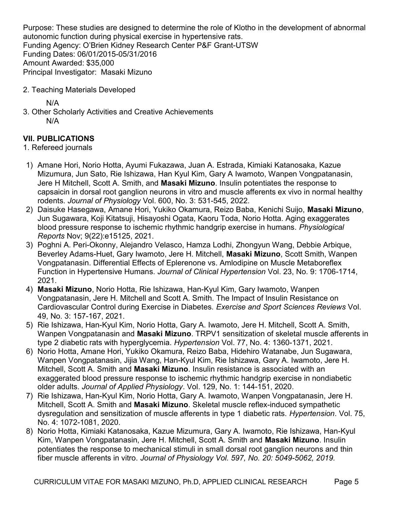Purpose: These studies are designed to determine the role of Klotho in the development of abnormal autonomic function during physical exercise in hypertensive rats. Funding Agency: O'Brien Kidney Research Center P&F Grant-UTSW Funding Dates: 06/01/2015-05/31/2016 Amount Awarded: \$35,000 Principal Investigator: Masaki Mizuno

2. Teaching Materials Developed

N/A

3. Other Scholarly Activities and Creative Achievements N/A

### VII. PUBLICATIONS

#### 1. Refereed journals

- 1) Amane Hori, Norio Hotta, Ayumi Fukazawa, Juan A. Estrada, Kimiaki Katanosaka, Kazue Mizumura, Jun Sato, Rie Ishizawa, Han Kyul Kim, Gary A Iwamoto, Wanpen Vongpatanasin, Jere H Mitchell, Scott A. Smith, and Masaki Mizuno. Insulin potentiates the response to capsaicin in dorsal root ganglion neurons in vitro and muscle afferents ex vivo in normal healthy rodents. Journal of Physiology Vol. 600, No. 3: 531-545, 2022.
- 2) Daisuke Hasegawa, Amane Hori, Yukiko Okamura, Reizo Baba, Kenichi Suijo, Masaki Mizuno, Jun Sugawara, Koji Kitatsuji, Hisayoshi Ogata, Kaoru Toda, Norio Hotta. Aging exaggerates blood pressure response to ischemic rhythmic handgrip exercise in humans. Physiological Reports Nov; 9(22):e15125, 2021.
- 3) Poghni A. Peri-Okonny, Alejandro Velasco, Hamza Lodhi, Zhongyun Wang, Debbie Arbique, Beverley Adams-Huet, Gary Iwamoto, Jere H. Mitchell, Masaki Mizuno, Scott Smith, Wanpen Vongpatanasin. Differential Effects of Eplerenone vs. Amlodipine on Muscle Metaboreflex Function in Hypertensive Humans. Journal of Clinical Hypertension Vol. 23, No. 9: 1706-1714, 2021.
- 4) Masaki Mizuno, Norio Hotta, Rie Ishizawa, Han-Kyul Kim, Gary Iwamoto, Wanpen Vongpatanasin, Jere H. Mitchell and Scott A. Smith. The Impact of Insulin Resistance on Cardiovascular Control during Exercise in Diabetes. Exercise and Sport Sciences Reviews Vol. 49, No. 3: 157-167, 2021.
- 5) Rie Ishizawa, Han-Kyul Kim, Norio Hotta, Gary A. Iwamoto, Jere H. Mitchell, Scott A. Smith, Wanpen Vongpatanasin and Masaki Mizuno. TRPV1 sensitization of skeletal muscle afferents in type 2 diabetic rats with hyperglycemia. Hypertension Vol. 77, No. 4: 1360-1371, 2021.
- 6) Norio Hotta, Amane Hori, Yukiko Okamura, Reizo Baba, Hidehiro Watanabe, Jun Sugawara, Wanpen Vongpatanasin, Jijia Wang, Han-Kyul Kim, Rie Ishizawa, Gary A. Iwamoto, Jere H. Mitchell, Scott A. Smith and Masaki Mizuno. Insulin resistance is associated with an exaggerated blood pressure response to ischemic rhythmic handgrip exercise in nondiabetic older adults. Journal of Applied Physiology. Vol. 129, No. 1: 144-151, 2020.
- 7) Rie Ishizawa, Han-Kyul Kim, Norio Hotta, Gary A. Iwamoto, Wanpen Vongpatanasin, Jere H. Mitchell, Scott A. Smith and Masaki Mizuno. Skeletal muscle reflex-induced sympathetic dysregulation and sensitization of muscle afferents in type 1 diabetic rats. Hypertension. Vol. 75, No. 4: 1072-1081, 2020.
- 8) Norio Hotta, Kimiaki Katanosaka, Kazue Mizumura, Gary A. Iwamoto, Rie Ishizawa, Han-Kyul Kim, Wanpen Vongpatanasin, Jere H. Mitchell, Scott A. Smith and Masaki Mizuno. Insulin potentiates the response to mechanical stimuli in small dorsal root ganglion neurons and thin fiber muscle afferents in vitro. Journal of Physiology Vol. 597, No. 20: 5049-5062, 2019.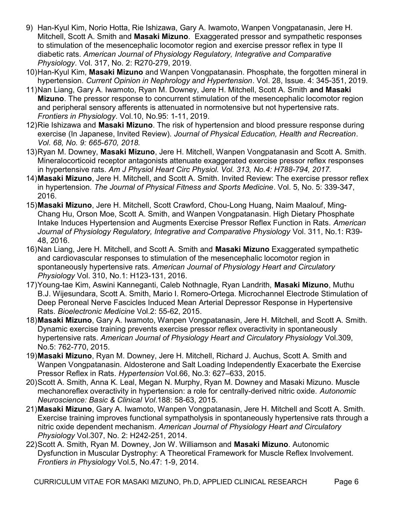- 9) Han-Kyul Kim, Norio Hotta, Rie Ishizawa, Gary A. Iwamoto, Wanpen Vongpatanasin, Jere H. Mitchell, Scott A. Smith and Masaki Mizuno. Exaggerated pressor and sympathetic responses to stimulation of the mesencephalic locomotor region and exercise pressor reflex in type II diabetic rats. American Journal of Physiology Regulatory, Integrative and Comparative Physiology. Vol. 317, No. 2: R270-279, 2019.
- 10) Han-Kyul Kim, Masaki Mizuno and Wanpen Vongpatanasin. Phosphate, the forgotten mineral in hypertension. Current Opinion in Nephrology and Hypertension. Vol. 28, Issue. 4: 345-351, 2019.
- 11) Nan Liang, Gary A. Iwamoto, Ryan M. Downey, Jere H. Mitchell, Scott A. Smith and Masaki Mizuno. The pressor response to concurrent stimulation of the mesencephalic locomotor region and peripheral sensory afferents is attenuated in normotensive but not hypertensive rats. Frontiers in Physiology. Vol.10, No.95: 1-11, 2019.
- 12) Rie Ishizawa and Masaki Mizuno. The risk of hypertension and blood pressure response during exercise (In Japanese, Invited Review). Journal of Physical Education, Health and Recreation. Vol. 68, No. 9: 665-670, 2018.
- 13) Ryan M. Downey, Masaki Mizuno, Jere H. Mitchell, Wanpen Vongpatanasin and Scott A. Smith. Mineralocorticoid receptor antagonists attenuate exaggerated exercise pressor reflex responses in hypertensive rats. Am J Physiol Heart Circ Physiol. Vol. 313, No.4: H788-794, 2017.
- 14) Masaki Mizuno, Jere H. Mitchell, and Scott A. Smith. Invited Review: The exercise pressor reflex in hypertension. The Journal of Physical Fitness and Sports Medicine. Vol. 5, No. 5: 339-347, 2016.
- 15) Masaki Mizuno, Jere H. Mitchell, Scott Crawford, Chou-Long Huang, Naim Maalouf, Ming-Chang Hu, Orson Moe, Scott A. Smith, and Wanpen Vongpatanasin. High Dietary Phosphate Intake Induces Hypertension and Augments Exercise Pressor Reflex Function in Rats. American Journal of Physiology Regulatory, Integrative and Comparative Physiology Vol. 311, No.1: R39- 48, 2016.
- 16) Nan Liang, Jere H. Mitchell, and Scott A. Smith and Masaki Mizuno Exaggerated sympathetic and cardiovascular responses to stimulation of the mesencephalic locomotor region in spontaneously hypertensive rats. American Journal of Physiology Heart and Circulatory Physiology Vol. 310, No.1: H123-131, 2016.
- 17) Young-tae Kim, Aswini Kanneganti, Caleb Nothnagle, Ryan Landrith, Masaki Mizuno, Muthu B.J. Wijesundara, Scott A. Smith, Mario I. Romero-Ortega. Microchannel Electrode Stimulation of Deep Peroneal Nerve Fascicles Induced Mean Arterial Depressor Response in Hypertensive Rats. Bioelectronic Medicine Vol.2: 55-62, 2015.
- 18) Masaki Mizuno, Gary A. Iwamoto, Wanpen Vongpatanasin, Jere H. Mitchell, and Scott A. Smith. Dynamic exercise training prevents exercise pressor reflex overactivity in spontaneously hypertensive rats. American Journal of Physiology Heart and Circulatory Physiology Vol.309, No.5: 762-770, 2015.
- 19) Masaki Mizuno, Ryan M. Downey, Jere H. Mitchell, Richard J. Auchus, Scott A. Smith and Wanpen Vongpatanasin. Aldosterone and Salt Loading Independently Exacerbate the Exercise Pressor Reflex in Rats. Hypertension Vol.66, No.3: 627–633, 2015.
- 20) Scott A. Smith, Anna K. Leal, Megan N. Murphy, Ryan M. Downey and Masaki Mizuno. Muscle mechanoreflex overactivity in hypertension: a role for centrally-derived nitric oxide. Autonomic Neuroscience: Basic & Clinical Vol.188: 58-63, 2015.
- 21) Masaki Mizuno, Gary A. Iwamoto, Wanpen Vongpatanasin, Jere H. Mitchell and Scott A. Smith. Exercise training improves functional sympatholysis in spontaneously hypertensive rats through a nitric oxide dependent mechanism. American Journal of Physiology Heart and Circulatory Physiology Vol.307, No. 2: H242-251, 2014.
- 22) Scott A. Smith, Ryan M. Downey, Jon W. Williamson and Masaki Mizuno. Autonomic Dysfunction in Muscular Dystrophy: A Theoretical Framework for Muscle Reflex Involvement. Frontiers in Physiology Vol.5, No.47: 1-9, 2014.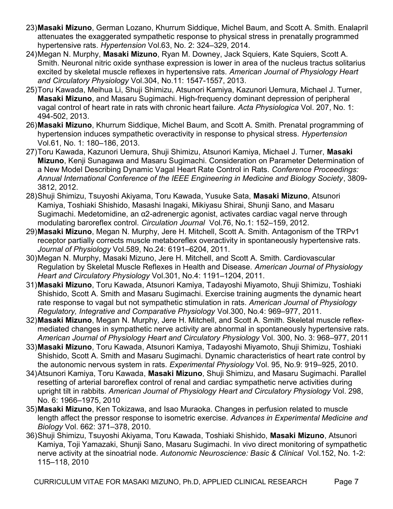- 23) Masaki Mizuno, German Lozano, Khurrum Siddique, Michel Baum, and Scott A. Smith. Enalapril attenuates the exaggerated sympathetic response to physical stress in prenatally programmed hypertensive rats. Hypertension Vol.63, No. 2: 324-329, 2014.
- 24) Megan N. Murphy, Masaki Mizuno, Ryan M. Downey, Jack Squiers, Kate Squiers, Scott A. Smith. Neuronal nitric oxide synthase expression is lower in area of the nucleus tractus solitarius excited by skeletal muscle reflexes in hypertensive rats. American Journal of Physiology Heart and Circulatory Physiology Vol.304, No.11: 1547-1557, 2013.
- 25) Toru Kawada, Meihua Li, Shuji Shimizu, Atsunori Kamiya, Kazunori Uemura, Michael J. Turner, Masaki Mizuno, and Masaru Sugimachi. High-frequency dominant depression of peripheral vagal control of heart rate in rats with chronic heart failure. Acta Physiologica Vol. 207, No. 1: 494-502, 2013.
- 26) Masaki Mizuno, Khurrum Siddique, Michel Baum, and Scott A. Smith. Prenatal programming of hypertension induces sympathetic overactivity in response to physical stress. Hypertension Vol.61, No. 1: 180–186, 2013.
- 27) Toru Kawada, Kazunori Uemura, Shuji Shimizu, Atsunori Kamiya, Michael J. Turner, Masaki Mizuno, Kenji Sunagawa and Masaru Sugimachi. Consideration on Parameter Determination of a New Model Describing Dynamic Vagal Heart Rate Control in Rats. Conference Proceedings: Annual International Conference of the IEEE Engineering in Medicine and Biology Society, 3809- 3812, 2012.
- 28) Shuji Shimizu, Tsuyoshi Akiyama, Toru Kawada, Yusuke Sata, Masaki Mizuno, Atsunori Kamiya, Toshiaki Shishido, Masashi Inagaki, Mikiyasu Shirai, Shunji Sano, and Masaru Sugimachi. Medetomidine, an α2-adrenergic agonist, activates cardiac vagal nerve through modulating baroreflex control. Circulation Journal Vol.76, No.1: 152–159, 2012.
- 29) Masaki Mizuno, Megan N. Murphy, Jere H. Mitchell, Scott A. Smith. Antagonism of the TRPv1 receptor partially corrects muscle metaboreflex overactivity in spontaneously hypertensive rats. Journal of Physiology Vol.589, No.24: 6191–6204, 2011.
- 30) Megan N. Murphy, Masaki Mizuno, Jere H. Mitchell, and Scott A. Smith. Cardiovascular Regulation by Skeletal Muscle Reflexes in Health and Disease. American Journal of Physiology Heart and Circulatory Physiology Vol.301, No.4: 1191–1204, 2011.
- 31) Masaki Mizuno, Toru Kawada, Atsunori Kamiya, Tadayoshi Miyamoto, Shuji Shimizu, Toshiaki Shishido, Scott A. Smith and Masaru Sugimachi. Exercise training augments the dynamic heart rate response to vagal but not sympathetic stimulation in rats. American Journal of Physiology Regulatory, Integrative and Comparative Physiology Vol.300, No.4: 969–977, 2011.
- 32) Masaki Mizuno, Megan N. Murphy, Jere H. Mitchell, and Scott A. Smith. Skeletal muscle reflexmediated changes in sympathetic nerve activity are abnormal in spontaneously hypertensive rats. American Journal of Physiology Heart and Circulatory Physiology Vol. 300, No. 3: 968–977, 2011
- 33) Masaki Mizuno, Toru Kawada, Atsunori Kamiya, Tadayoshi Miyamoto, Shuji Shimizu, Toshiaki Shishido, Scott A. Smith and Masaru Sugimachi. Dynamic characteristics of heart rate control by the autonomic nervous system in rats. Experimental Physiology Vol. 95, No.9: 919–925, 2010.
- 34) Atsunori Kamiya, Toru Kawada, Masaki Mizuno, Shuji Shimizu, and Masaru Sugimachi. Parallel resetting of arterial baroreflex control of renal and cardiac sympathetic nerve activities during upright tilt in rabbits. American Journal of Physiology Heart and Circulatory Physiology Vol. 298, No. 6: 1966–1975, 2010
- 35) Masaki Mizuno, Ken Tokizawa, and Isao Muraoka. Changes in perfusion related to muscle length affect the pressor response to isometric exercise. Advances in Experimental Medicine and Biology Vol. 662: 371–378, 2010.
- 36) Shuji Shimizu, Tsuyoshi Akiyama, Toru Kawada, Toshiaki Shishido, Masaki Mizuno, Atsunori Kamiya, Toji Yamazaki, Shunji Sano, Masaru Sugimachi. In vivo direct monitoring of sympathetic nerve activity at the sinoatrial node. Autonomic Neuroscience: Basic & Clinical Vol.152, No. 1-2: 115–118, 2010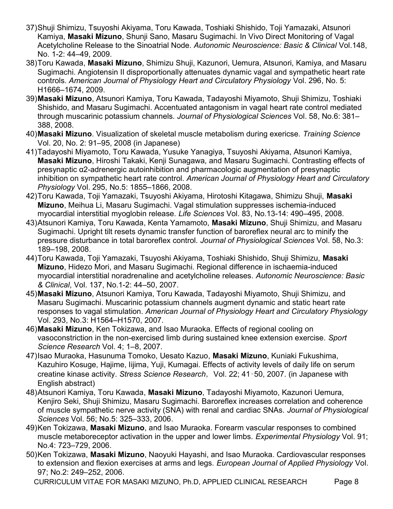- 37) Shuji Shimizu, Tsuyoshi Akiyama, Toru Kawada, Toshiaki Shishido, Toji Yamazaki, Atsunori Kamiya, Masaki Mizuno, Shunji Sano, Masaru Sugimachi. In Vivo Direct Monitoring of Vagal Acetylcholine Release to the Sinoatrial Node. Autonomic Neuroscience: Basic & Clinical Vol.148, No. 1-2: 44–49, 2009.
- 38) Toru Kawada, Masaki Mizuno, Shimizu Shuji, Kazunori, Uemura, Atsunori, Kamiya, and Masaru Sugimachi. Angiotensin II disproportionally attenuates dynamic vagal and sympathetic heart rate controls. American Journal of Physiology Heart and Circulatory Physiology Vol. 296, No. 5: H1666–1674, 2009.
- 39) Masaki Mizuno, Atsunori Kamiya, Toru Kawada, Tadayoshi Miyamoto, Shuji Shimizu, Toshiaki Shishido, and Masaru Sugimachi. Accentuated antagonism in vagal heart rate control mediated through muscarinic potassium channels. Journal of Physiological Sciences Vol. 58, No.6: 381– 388, 2008.
- 40) Masaki Mizuno. Visualization of skeletal muscle metabolism during exericse. Training Science Vol. 20, No. 2: 91–95, 2008 (in Japanese)
- 41) Tadayoshi Miyamoto, Toru Kawada, Yusuke Yanagiya, Tsuyoshi Akiyama, Atsunori Kamiya, Masaki Mizuno, Hiroshi Takaki, Kenji Sunagawa, and Masaru Sugimachi. Contrasting effects of presynaptic α2-adrenergic autoinhibition and pharmacologic augmentation of presynaptic inhibition on sympathetic heart rate control. American Journal of Physiology Heart and Circulatory Physiology Vol. 295, No.5: 1855–1866, 2008.
- 42) Toru Kawada, Toji Yamazaki, Tsuyoshi Akiyama, Hirotoshi Kitagawa, Shimizu Shuji, Masaki Mizuno, Meihua Li, Masaru Sugimachi. Vagal stimulation suppresses ischemia-induced myocardial interstitial myoglobin release. Life Sciences Vol. 83, No.13-14: 490–495, 2008.
- 43) Atsunori Kamiya, Toru Kawada, Kenta Yamamoto, Masaki Mizuno, Shuji Shimizu, and Masaru Sugimachi. Upright tilt resets dynamic transfer function of baroreflex neural arc to minify the pressure disturbance in total baroreflex control. Journal of Physiological Sciences Vol. 58, No.3: 189–198, 2008.
- 44) Toru Kawada, Toji Yamazaki, Tsuyoshi Akiyama, Toshiaki Shishido, Shuji Shimizu, Masaki Mizuno, Hidezo Mori, and Masaru Sugimachi. Regional difference in ischaemia-induced myocardial interstitial noradrenaline and acetylcholine releases. Autonomic Neuroscience: Basic & Clinical, Vol. 137, No.1-2: 44–50, 2007.
- 45) Masaki Mizuno, Atsunori Kamiya, Toru Kawada, Tadayoshi Miyamoto, Shuji Shimizu, and Masaru Sugimachi. Muscarinic potassium channels augment dynamic and static heart rate responses to vagal stimulation. American Journal of Physiology Heart and Circulatory Physiology Vol. 293, No.3: H1564–H1570, 2007.
- 46) Masaki Mizuno, Ken Tokizawa, and Isao Muraoka. Effects of regional cooling on vasoconstriction in the non-exercised limb during sustained knee extension exercise. Sport Science Research Vol. 4; 1-8, 2007.
- 47) Isao Muraoka, Hasunuma Tomoko, Uesato Kazuo, Masaki Mizuno, Kuniaki Fukushima, Kazuhiro Kosuge, Hajime, Iijima, Yuji, Kumagai. Effects of activity levels of daily life on serum creatine kinase activity. Stress Science Research, Vol. 22; 41-50, 2007. (in Japanese with English abstract)
- 48) Atsunori Kamiya, Toru Kawada, Masaki Mizuno, Tadayoshi Miyamoto, Kazunori Uemura, Kenjiro Seki, Shuji Shimizu, Masaru Sugimachi. Baroreflex increases correlation and coherence of muscle sympathetic nerve activity (SNA) with renal and cardiac SNAs. Journal of Physiological Sciences Vol. 56; No.5: 325–333, 2006.
- 49) Ken Tokizawa, Masaki Mizuno, and Isao Muraoka. Forearm vascular responses to combined muscle metaboreceptor activation in the upper and lower limbs. Experimental Physiology Vol. 91; No.4: 723–729, 2006.
- 50) Ken Tokizawa, Masaki Mizuno, Naoyuki Hayashi, and Isao Muraoka. Cardiovascular responses to extension and flexion exercises at arms and legs. European Journal of Applied Physiology Vol. 97; No.2: 249–252, 2006.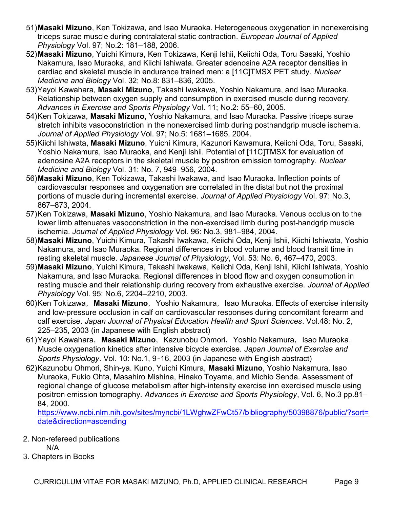- 51) Masaki Mizuno, Ken Tokizawa, and Isao Muraoka. Heterogeneous oxygenation in nonexercising triceps surae muscle during contralateral static contraction. European Journal of Applied Physiology Vol. 97; No.2: 181–188, 2006.
- 52) Masaki Mizuno, Yuichi Kimura, Ken Tokizawa, Kenji Ishii, Keiichi Oda, Toru Sasaki, Yoshio Nakamura, Isao Muraoka, and Kiichi Ishiwata. Greater adenosine A2A receptor densities in cardiac and skeletal muscle in endurance trained men: a [11C]TMSX PET study. Nuclear Medicine and Biology Vol. 32; No.8: 831–836, 2005.
- 53) Yayoi Kawahara, Masaki Mizuno, Takashi Iwakawa, Yoshio Nakamura, and Isao Muraoka. Relationship between oxygen supply and consumption in exercised muscle during recovery. Advances in Exercise and Sports Physiology Vol. 11; No.2: 55–60, 2005.
- 54) Ken Tokizawa, Masaki Mizuno, Yoshio Nakamura, and Isao Muraoka. Passive triceps surae stretch inhibits vasoconstriction in the nonexercised limb during posthandgrip muscle ischemia. Journal of Applied Physiology Vol. 97; No.5: 1681–1685, 2004.
- 55) Kiichi Ishiwata, Masaki Mizuno, Yuichi Kimura, Kazunori Kawamura, Keiichi Oda, Toru, Sasaki, Yoshio Nakamura, Isao Muraoka, and Kenji Ishii. Potential of [11C]TMSX for evaluation of adenosine A2A receptors in the skeletal muscle by positron emission tomography. Nuclear Medicine and Biology Vol. 31: No. 7, 949–956, 2004.
- 56) Masaki Mizuno, Ken Tokizawa, Takashi Iwakawa, and Isao Muraoka. Inflection points of cardiovascular responses and oxygenation are correlated in the distal but not the proximal portions of muscle during incremental exercise. Journal of Applied Physiology Vol. 97: No.3, 867–873, 2004.
- 57) Ken Tokizawa, Masaki Mizuno, Yoshio Nakamura, and Isao Muraoka. Venous occlusion to the lower limb attenuates vasoconstriction in the non-exercised limb during post-handgrip muscle ischemia. Journal of Applied Physiology Vol. 96: No.3, 981–984, 2004.
- 58) Masaki Mizuno, Yuichi Kimura, Takashi Iwakawa, Keiichi Oda, Kenji Ishii, Kiichi Ishiwata, Yoshio Nakamura, and Isao Muraoka. Regional differences in blood volume and blood transit time in resting skeletal muscle. Japanese Journal of Physiology, Vol. 53: No. 6, 467–470, 2003.
- 59) Masaki Mizuno, Yuichi Kimura, Takashi Iwakawa, Keiichi Oda, Kenji Ishii, Kiichi Ishiwata, Yoshio Nakamura, and Isao Muraoka. Regional differences in blood flow and oxygen consumption in resting muscle and their relationship during recovery from exhaustive exercise. Journal of Applied Physiology Vol. 95: No.6, 2204–2210, 2003.
- 60) Ken Tokizawa, Masaki Mizuno, Yoshio Nakamura, Isao Muraoka. Effects of exercise intensity and low-pressure occlusion in calf on cardiovascular responses during concomitant forearm and calf exercise. Japan Journal of Physical Education Health and Sport Sciences. Vol.48: No. 2, 225–235, 2003 (in Japanese with English abstract)
- 61) Yayoi Kawahara, Masaki Mizuno, Kazunobu Ohmori, Yoshio Nakamura, Isao Muraoka. Muscle oxygenation kinetics after intensive bicycle exercise. Japan Journal of Exercise and Sports Physiology. Vol. 10: No.1, 9–16, 2003 (in Japanese with English abstract)
- 62) Kazunobu Ohmori, Shin-ya. Kuno, Yuichi Kimura, Masaki Mizuno, Yoshio Nakamura, Isao Muraoka, Fukio Ohta, Masahiro Mishina, Hinako Toyama, and Michio Senda. Assessment of regional change of glucose metabolism after high-intensity exercise inn exercised muscle using positron emission tomography. Advances in Exercise and Sports Physiology, Vol. 6, No.3 pp.81– 84, 2000.

https://www.ncbi.nlm.nih.gov/sites/myncbi/1LWghwZFwCt57/bibliography/50398876/public/?sort= date&direction=ascending

2. Non-refereed publications

N/A

3. Chapters in Books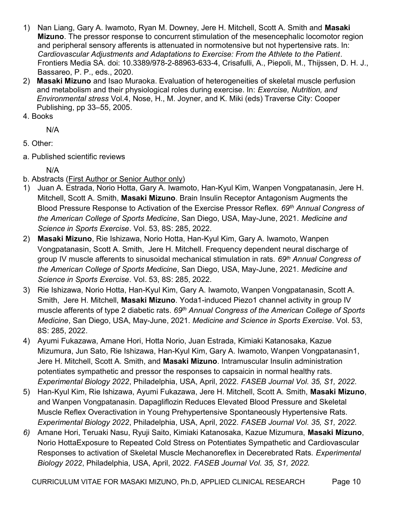- 1) Nan Liang, Gary A. Iwamoto, Ryan M. Downey, Jere H. Mitchell, Scott A. Smith and Masaki Mizuno. The pressor response to concurrent stimulation of the mesencephalic locomotor region and peripheral sensory afferents is attenuated in normotensive but not hypertensive rats. In: Cardiovascular Adjustments and Adaptations to Exercise: From the Athlete to the Patient. Frontiers Media SA. doi: 10.3389/978-2-88963-633-4, Crisafulli, A., Piepoli, M., Thijssen, D. H. J., Bassareo, P. P., eds., 2020.
- 2) Masaki Mizuno and Isao Muraoka. Evaluation of heterogeneities of skeletal muscle perfusion and metabolism and their physiological roles during exercise. In: Exercise, Nutrition, and Environmental stress Vol.4, Nose, H., M. Joyner, and K. Miki (eds) Traverse City: Cooper Publishing, pp 33–55, 2005.
- 4. Books

N/A

- 5. Other:
- a. Published scientific reviews

N/A

- b. Abstracts (First Author or Senior Author only)
- 1) Juan A. Estrada, Norio Hotta, Gary A. Iwamoto, Han-Kyul Kim, Wanpen Vongpatanasin, Jere H. Mitchell, Scott A. Smith, Masaki Mizuno. Brain Insulin Receptor Antagonism Augments the Blood Pressure Response to Activation of the Exercise Pressor Reflex. 69<sup>th</sup> Annual Congress of the American College of Sports Medicine, San Diego, USA, May-June, 2021. Medicine and Science in Sports Exercise. Vol. 53, 8S: 285, 2022.
- 2) Masaki Mizuno, Rie Ishizawa, Norio Hotta, Han-Kyul Kim, Gary A. Iwamoto, Wanpen Vongpatanasin, Scott A. Smith, Jere H. Mitchell. Frequency dependent neural discharge of group IV muscle afferents to sinusoidal mechanical stimulation in rats. 69<sup>th</sup> Annual Congress of the American College of Sports Medicine, San Diego, USA, May-June, 2021. Medicine and Science in Sports Exercise. Vol. 53, 8S: 285, 2022.
- 3) Rie Ishizawa, Norio Hotta, Han-Kyul Kim, Gary A. Iwamoto, Wanpen Vongpatanasin, Scott A. Smith, Jere H. Mitchell, Masaki Mizuno. Yoda1-induced Piezo1 channel activity in group IV muscle afferents of type 2 diabetic rats. 69<sup>th</sup> Annual Congress of the American College of Sports Medicine, San Diego, USA, May-June, 2021. Medicine and Science in Sports Exercise. Vol. 53, 8S: 285, 2022.
- 4) Ayumi Fukazawa, Amane Hori, Hotta Norio, Juan Estrada, Kimiaki Katanosaka, Kazue Mizumura, Jun Sato, Rie Ishizawa, Han-Kyul Kim, Gary A. Iwamoto, Wanpen Vongpatanasin1, Jere H. Mitchell, Scott A. Smith, and Masaki Mizuno. Intramuscular Insulin administration potentiates sympathetic and pressor the responses to capsaicin in normal healthy rats. Experimental Biology 2022, Philadelphia, USA, April, 2022. FASEB Journal Vol. 35, S1, 2022.
- 5) Han-Kyul Kim, Rie Ishizawa, Ayumi Fukazawa, Jere H. Mitchell, Scott A. Smith, Masaki Mizuno, and Wanpen Vongpatanasin. Dapagliflozin Reduces Elevated Blood Pressure and Skeletal Muscle Reflex Overactivation in Young Prehypertensive Spontaneously Hypertensive Rats. Experimental Biology 2022, Philadelphia, USA, April, 2022. FASEB Journal Vol. 35, S1, 2022.
- 6) Amane Hori, Teruaki Nasu, Ryuji Saito, Kimiaki Katanosaka, Kazue Mizumura, Masaki Mizuno, Norio HottaExposure to Repeated Cold Stress on Potentiates Sympathetic and Cardiovascular Responses to activation of Skeletal Muscle Mechanoreflex in Decerebrated Rats. Experimental Biology 2022, Philadelphia, USA, April, 2022. FASEB Journal Vol. 35, S1, 2022.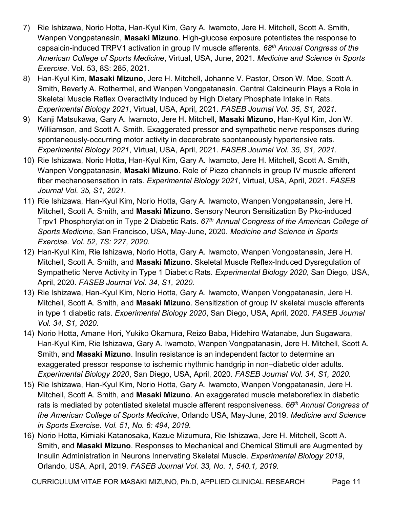- 7) Rie Ishizawa, Norio Hotta, Han-Kyul Kim, Gary A. Iwamoto, Jere H. Mitchell, Scott A. Smith, Wanpen Vongpatanasin, **Masaki Mizuno**. High-glucose exposure potentiates the response to capsaicin-induced TRPV1 activation in group IV muscle afferents. 68<sup>th</sup> Annual Congress of the American College of Sports Medicine, Virtual, USA, June, 2021. Medicine and Science in Sports Exercise. Vol. 53, 8S: 285, 2021.
- 8) Han-Kyul Kim, Masaki Mizuno, Jere H. Mitchell, Johanne V. Pastor, Orson W. Moe, Scott A. Smith, Beverly A. Rothermel, and Wanpen Vongpatanasin. Central Calcineurin Plays a Role in Skeletal Muscle Reflex Overactivity Induced by High Dietary Phosphate Intake in Rats. Experimental Biology 2021, Virtual, USA, April, 2021. FASEB Journal Vol. 35, S1, 2021.
- 9) Kanji Matsukawa, Gary A. Iwamoto, Jere H. Mitchell, Masaki Mizuno, Han-Kyul Kim, Jon W. Williamson, and Scott A. Smith. Exaggerated pressor and sympathetic nerve responses during spontaneously-occurring motor activity in decerebrate spontaneously hypertensive rats. Experimental Biology 2021, Virtual, USA, April, 2021. FASEB Journal Vol. 35, S1, 2021.
- 10) Rie Ishizawa, Norio Hotta, Han-Kyul Kim, Gary A. Iwamoto, Jere H. Mitchell, Scott A. Smith, Wanpen Vongpatanasin, Masaki Mizuno. Role of Piezo channels in group IV muscle afferent fiber mechanosensation in rats. Experimental Biology 2021, Virtual, USA, April, 2021. FASEB Journal Vol. 35, S1, 2021.
- 11) Rie Ishizawa, Han-Kyul Kim, Norio Hotta, Gary A. Iwamoto, Wanpen Vongpatanasin, Jere H. Mitchell, Scott A. Smith, and Masaki Mizuno. Sensory Neuron Sensitization By Pkc-induced Trpv1 Phosphorylation in Type 2 Diabetic Rats. 67<sup>th</sup> Annual Congress of the American College of Sports Medicine, San Francisco, USA, May-June, 2020. Medicine and Science in Sports Exercise. Vol. 52, 7S: 227, 2020.
- 12) Han-Kyul Kim, Rie Ishizawa, Norio Hotta, Gary A. Iwamoto, Wanpen Vongpatanasin, Jere H. Mitchell, Scott A. Smith, and Masaki Mizuno. Skeletal Muscle Reflex-Induced Dysregulation of Sympathetic Nerve Activity in Type 1 Diabetic Rats. Experimental Biology 2020, San Diego, USA, April, 2020. FASEB Journal Vol. 34, S1, 2020.
- 13) Rie Ishizawa, Han-Kyul Kim, Norio Hotta, Gary A. Iwamoto, Wanpen Vongpatanasin, Jere H. Mitchell, Scott A. Smith, and **Masaki Mizuno**. Sensitization of group IV skeletal muscle afferents in type 1 diabetic rats. Experimental Biology 2020, San Diego, USA, April, 2020. FASEB Journal Vol. 34, S1, 2020.
- 14) Norio Hotta, Amane Hori, Yukiko Okamura, Reizo Baba, Hidehiro Watanabe, Jun Sugawara, Han-Kyul Kim, Rie Ishizawa, Gary A. Iwamoto, Wanpen Vongpatanasin, Jere H. Mitchell, Scott A. Smith, and Masaki Mizuno. Insulin resistance is an independent factor to determine an exaggerated pressor response to ischemic rhythmic handgrip in non–diabetic older adults. Experimental Biology 2020, San Diego, USA, April, 2020. FASEB Journal Vol. 34, S1, 2020.
- 15) Rie Ishizawa, Han-Kyul Kim, Norio Hotta, Gary A. Iwamoto, Wanpen Vongpatanasin, Jere H. Mitchell, Scott A. Smith, and Masaki Mizuno. An exaggerated muscle metaboreflex in diabetic rats is mediated by potentiated skeletal muscle afferent responsiveness. 66<sup>th</sup> Annual Congress of the American College of Sports Medicine, Orlando USA, May-June, 2019. Medicine and Science in Sports Exercise. Vol. 51, No. 6: 494, 2019.
- 16) Norio Hotta, Kimiaki Katanosaka, Kazue Mizumura, Rie Ishizawa, Jere H. Mitchell, Scott A. Smith, and Masaki Mizuno. Responses to Mechanical and Chemical Stimuli are Augmented by Insulin Administration in Neurons Innervating Skeletal Muscle. Experimental Biology 2019, Orlando, USA, April, 2019. FASEB Journal Vol. 33, No. 1, 540.1, 2019.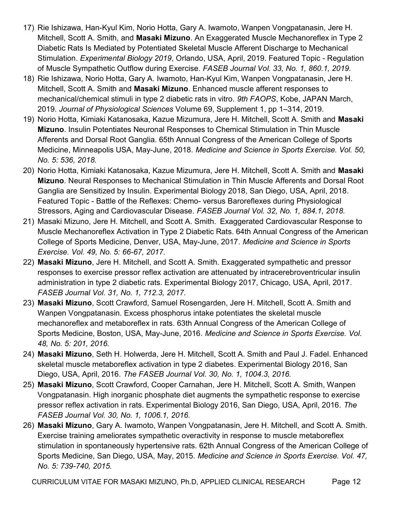- 17) Rie Ishizawa, Han-Kyul Kim, Norio Hotta, Gary A. Iwamoto, Wanpen Vongpatanasin, Jere H. Mitchell, Scott A. Smith, and Masaki Mizuno. An Exaggerated Muscle Mechanoreflex in Type 2 Diabetic Rats Is Mediated by Potentiated Skeletal Muscle Afferent Discharge to Mechanical Stimulation. Experimental Biology 2019, Orlando, USA, April, 2019. Featured Topic - Regulation of Muscle Sympathetic Outflow during Exercise. FASEB Journal Vol. 33, No. 1, 860.1, 2019.
- 18) Rie Ishizawa, Norio Hotta, Gary A. Iwamoto, Han-Kyul Kim, Wanpen Vongpatanasin, Jere H. Mitchell, Scott A. Smith and Masaki Mizuno. Enhanced muscle afferent responses to mechanical/chemical stimuli in type 2 diabetic rats in vitro. 9th FAOPS, Kobe, JAPAN March, 2019. Journal of Physiological Sciences Volume 69, Supplement 1, pp 1–314, 2019.
- 19) Norio Hotta, Kimiaki Katanosaka, Kazue Mizumura, Jere H. Mitchell, Scott A. Smith and Masaki Mizuno. Insulin Potentiates Neuronal Responses to Chemical Stimulation in Thin Muscle Afferents and Dorsal Root Ganglia. 65th Annual Congress of the American College of Sports Medicine, Minneapolis USA, May-June, 2018. Medicine and Science in Sports Exercise. Vol. 50, No. 5: 536, 2018.
- 20) Norio Hotta, Kimiaki Katanosaka, Kazue Mizumura, Jere H. Mitchell, Scott A. Smith and Masaki Mizuno. Neural Responses to Mechanical Stimulation in Thin Muscle Afferents and Dorsal Root Ganglia are Sensitized by Insulin. Experimental Biology 2018, San Diego, USA, April, 2018. Featured Topic - Battle of the Reflexes: Chemo- versus Baroreflexes during Physiological Stressors, Aging and Cardiovascular Disease. FASEB Journal Vol. 32, No. 1, 884.1, 2018.
- 21) Masaki Mizuno, Jere H. Mitchell, and Scott A. Smith. Exaggerated Cardiovascular Response to Muscle Mechanoreflex Activation in Type 2 Diabetic Rats. 64th Annual Congress of the American College of Sports Medicine, Denver, USA, May-June, 2017. Medicine and Science in Sports Exercise. Vol. 49, No. 5: 66-67, 2017.
- 22) Masaki Mizuno, Jere H. Mitchell, and Scott A. Smith. Exaggerated sympathetic and pressor responses to exercise pressor reflex activation are attenuated by intracerebroventricular insulin administration in type 2 diabetic rats. Experimental Biology 2017, Chicago, USA, April, 2017. FASEB Journal Vol. 31, No. 1, 712.3, 2017.
- 23) Masaki Mizuno, Scott Crawford, Samuel Rosengarden, Jere H. Mitchell, Scott A. Smith and Wanpen Vongpatanasin. Excess phosphorus intake potentiates the skeletal muscle mechanoreflex and metaboreflex in rats. 63th Annual Congress of the American College of Sports Medicine, Boston, USA, May-June, 2016. Medicine and Science in Sports Exercise. Vol. 48, No. 5: 201, 2016.
- 24) Masaki Mizuno, Seth H. Holwerda, Jere H. Mitchell, Scott A. Smith and Paul J. Fadel. Enhanced skeletal muscle metaboreflex activation in type 2 diabetes. Experimental Biology 2016, San Diego, USA, April, 2016. The FASEB Journal Vol. 30, No. 1, 1004.3, 2016.
- 25) Masaki Mizuno, Scott Crawford, Cooper Carnahan, Jere H. Mitchell, Scott A. Smith, Wanpen Vongpatanasin. High inorganic phosphate diet augments the sympathetic response to exercise pressor reflex activation in rats. Experimental Biology 2016, San Diego, USA, April, 2016. The FASEB Journal Vol. 30, No. 1, 1006.1, 2016.
- 26) Masaki Mizuno, Gary A. Iwamoto, Wanpen Vongpatanasin, Jere H. Mitchell, and Scott A. Smith. Exercise training ameliorates sympathetic overactivity in response to muscle metaboreflex stimulation in spontaneously hypertensive rats. 62th Annual Congress of the American College of Sports Medicine, San Diego, USA, May, 2015. Medicine and Science in Sports Exercise. Vol. 47, No. 5: 739-740, 2015.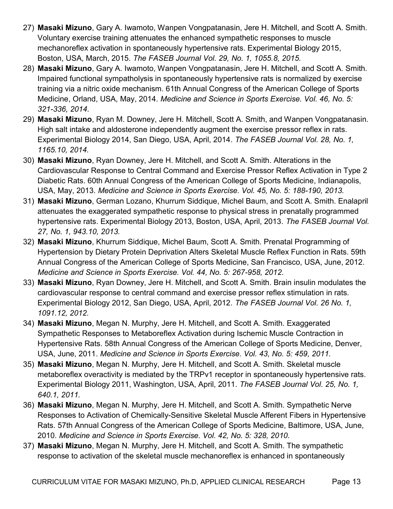- 27) Masaki Mizuno, Gary A. Iwamoto, Wanpen Vongpatanasin, Jere H. Mitchell, and Scott A. Smith. Voluntary exercise training attenuates the enhanced sympathetic responses to muscle mechanoreflex activation in spontaneously hypertensive rats. Experimental Biology 2015, Boston, USA, March, 2015. The FASEB Journal Vol. 29, No. 1, 1055.8, 2015.
- 28) Masaki Mizuno, Gary A. Iwamoto, Wanpen Vongpatanasin, Jere H. Mitchell, and Scott A. Smith. Impaired functional sympatholysis in spontaneously hypertensive rats is normalized by exercise training via a nitric oxide mechanism. 61th Annual Congress of the American College of Sports Medicine, Orland, USA, May, 2014. Medicine and Science in Sports Exercise. Vol. 46, No. 5: 321-336, 2014.
- 29) Masaki Mizuno, Ryan M. Downey, Jere H. Mitchell, Scott A. Smith, and Wanpen Vongpatanasin. High salt intake and aldosterone independently augment the exercise pressor reflex in rats. Experimental Biology 2014, San Diego, USA, April, 2014. The FASEB Journal Vol. 28, No. 1, 1165.10, 2014.
- 30) Masaki Mizuno, Ryan Downey, Jere H. Mitchell, and Scott A. Smith. Alterations in the Cardiovascular Response to Central Command and Exercise Pressor Reflex Activation in Type 2 Diabetic Rats. 60th Annual Congress of the American College of Sports Medicine, Indianapolis, USA, May, 2013. Medicine and Science in Sports Exercise. Vol. 45, No. 5: 188-190, 2013.
- 31) Masaki Mizuno, German Lozano, Khurrum Siddique, Michel Baum, and Scott A. Smith. Enalapril attenuates the exaggerated sympathetic response to physical stress in prenatally programmed hypertensive rats. Experimental Biology 2013, Boston, USA, April, 2013. The FASEB Journal Vol. 27, No. 1, 943.10, 2013.
- 32) Masaki Mizuno, Khurrum Siddique, Michel Baum, Scott A. Smith. Prenatal Programming of Hypertension by Dietary Protein Deprivation Alters Skeletal Muscle Reflex Function in Rats. 59th Annual Congress of the American College of Sports Medicine, San Francisco, USA, June, 2012. Medicine and Science in Sports Exercise. Vol. 44, No. 5: 267-958, 2012.
- 33) Masaki Mizuno, Ryan Downey, Jere H. Mitchell, and Scott A. Smith. Brain insulin modulates the cardiovascular response to central command and exercise pressor reflex stimulation in rats. Experimental Biology 2012, San Diego, USA, April, 2012. The FASEB Journal Vol. 26 No. 1, 1091.12, 2012.
- 34) Masaki Mizuno, Megan N. Murphy, Jere H. Mitchell, and Scott A. Smith. Exaggerated Sympathetic Responses to Metaboreflex Activation during Ischemic Muscle Contraction in Hypertensive Rats. 58th Annual Congress of the American College of Sports Medicine, Denver, USA, June, 2011. Medicine and Science in Sports Exercise. Vol. 43, No. 5: 459, 2011.
- 35) Masaki Mizuno, Megan N. Murphy, Jere H. Mitchell, and Scott A. Smith. Skeletal muscle metaboreflex overactivity is mediated by the TRPv1 receptor in spontaneously hypertensive rats. Experimental Biology 2011, Washington, USA, April, 2011. The FASEB Journal Vol. 25, No. 1, 640.1, 2011.
- 36) Masaki Mizuno, Megan N. Murphy, Jere H. Mitchell, and Scott A. Smith. Sympathetic Nerve Responses to Activation of Chemically-Sensitive Skeletal Muscle Afferent Fibers in Hypertensive Rats. 57th Annual Congress of the American College of Sports Medicine, Baltimore, USA, June, 2010. Medicine and Science in Sports Exercise. Vol. 42, No. 5: 328, 2010.
- 37) Masaki Mizuno, Megan N. Murphy, Jere H. Mitchell, and Scott A. Smith. The sympathetic response to activation of the skeletal muscle mechanoreflex is enhanced in spontaneously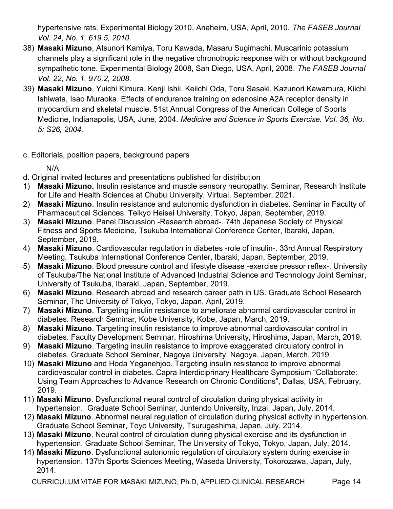hypertensive rats. Experimental Biology 2010, Anaheim, USA, April, 2010. The FASEB Journal Vol. 24, No. 1, 619.5, 2010.

- 38) Masaki Mizuno, Atsunori Kamiya, Toru Kawada, Masaru Sugimachi. Muscarinic potassium channels play a significant role in the negative chronotropic response with or without background sympathetic tone. Experimental Biology 2008, San Diego, USA, April, 2008. The FASEB Journal Vol. 22, No. 1, 970.2, 2008.
- 39) Masaki Mizuno, Yuichi Kimura, Kenji Ishii, Keiichi Oda, Toru Sasaki, Kazunori Kawamura, Kiichi Ishiwata, Isao Muraoka. Effects of endurance training on adenosine A2A receptor density in myocardium and skeletal muscle. 51st Annual Congress of the American College of Sports Medicine, Indianapolis, USA, June, 2004. Medicine and Science in Sports Exercise. Vol. 36, No. 5: S26, 2004.
- c. Editorials, position papers, background papers

N/A

- d. Original invited lectures and presentations published for distribution
- 1) Masaki Mizuno. Insulin resistance and muscle sensory neuropathy. Seminar, Research Institute for Life and Health Sciences at Chubu University, Virtual, September, 2021.
- 2) Masaki Mizuno. Insulin resistance and autonomic dysfunction in diabetes. Seminar in Faculty of Pharmaceutical Sciences, Teikyo Heisei University, Tokyo, Japan, September, 2019.
- 3) Masaki Mizuno. Panel Discussion -Research abroad-. 74th Japanese Society of Physical Fitness and Sports Medicine, Tsukuba International Conference Center, Ibaraki, Japan, September, 2019.
- 4) Masaki Mizuno. Cardiovascular regulation in diabetes -role of insulin-. 33rd Annual Respiratory Meeting, Tsukuba International Conference Center, Ibaraki, Japan, September, 2019.
- 5) Masaki Mizuno. Blood pressure control and lifestyle disease -exercise pressor reflex-. University of Tsukuba/The National Institute of Advanced Industrial Science and Technology Joint Seminar, University of Tsukuba, Ibaraki, Japan, September, 2019.
- 6) Masaki Mizuno. Research abroad and research career path in US. Graduate School Research Seminar, The University of Tokyo, Tokyo, Japan, April, 2019.
- 7) Masaki Mizuno. Targeting insulin resistance to ameliorate abnormal cardiovascular control in diabetes. Research Seminar, Kobe University, Kobe, Japan, March, 2019.
- 8) Masaki Mizuno. Targeting insulin resistance to improve abnormal cardiovascular control in diabetes. Faculty Development Seminar, Hiroshima University, Hiroshima, Japan, March, 2019.
- 9) Masaki Mizuno. Targeting insulin resistance to improve exaggerated circulatory control in diabetes. Graduate School Seminar, Nagoya University, Nagoya, Japan, March, 2019.
- 10) Masaki Mizuno and Hoda Yeganehjoo. Targeting insulin resistance to improve abnormal cardiovascular control in diabetes. Capra Interdiciprinary Healthcare Symposium "Collaborate: Using Team Approaches to Advance Research on Chronic Conditions", Dallas, USA, February, 2019.
- 11) Masaki Mizuno. Dysfunctional neural control of circulation during physical activity in hypertension. Graduate School Seminar, Juntendo University, Inzai, Japan, July, 2014.
- 12) Masaki Mizuno. Abnormal neural regulation of circulation during physical activity in hypertension. Graduate School Seminar, Toyo University, Tsurugashima, Japan, July, 2014.
- 13) Masaki Mizuno. Neural control of circulation during physical exercise and its dysfunction in hypertension. Graduate School Seminar, The University of Tokyo, Tokyo, Japan, July, 2014.
- 14) Masaki Mizuno. Dysfunctional autonomic regulation of circulatory system during exercise in hypertension. 137th Sports Sciences Meeting, Waseda University, Tokorozawa, Japan, July, 2014.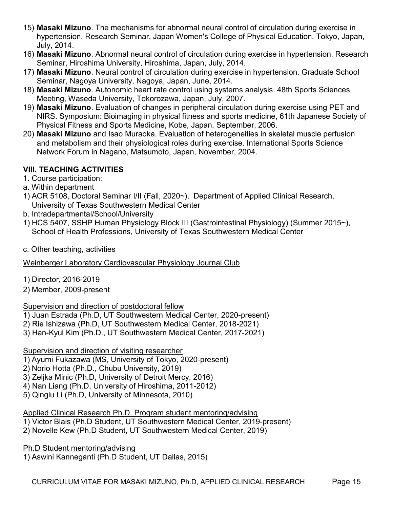- 15) **Masaki Mizuno**. The mechanisms for abnormal neural control of circulation during exercise in hypertension. Research Seminar, Japan Women's College of Physical Education, Tokyo, Japan, July, 2014.
- 16) Masaki Mizuno. Abnormal neural control of circulation during exercise in hypertension. Research Seminar, Hiroshima University, Hiroshima, Japan, July, 2014.
- 17) Masaki Mizuno. Neural control of circulation during exercise in hypertension. Graduate School Seminar, Nagoya University, Nagoya, Japan, June, 2014.
- 18) Masaki Mizuno. Autonomic heart rate control using systems analysis. 48th Sports Sciences Meeting, Waseda University, Tokorozawa, Japan, July, 2007.
- 19) Masaki Mizuno. Evaluation of changes in peripheral circulation during exercise using PET and NIRS. Symposium: Bioimaging in physical fitness and sports medicine, 61th Japanese Society of Physical Fitness and Sports Medicine, Kobe, Japan, September, 2006.
- 20) Masaki Mizuno and Isao Muraoka. Evaluation of heterogeneities in skeletal muscle perfusion and metabolism and their physiological roles during exercise. International Sports Science Network Forum in Nagano, Matsumoto, Japan, November, 2004.

## VIII. TEACHING ACTIVITIES

- 1. Course participation:
- a. Within department
- 1) ACR 5108, Doctoral Seminar I/II (Fall, 2020~), Department of Applied Clinical Research, University of Texas Southwestern Medical Center
- b. Intradepartmental/School/University
- 1) HCS 5407, SSHP Human Physiology Block III (Gastrointestinal Physiology) (Summer 2015~), School of Health Professions, University of Texas Southwestern Medical Center
- c. Other teaching, activities

Weinberger Laboratory Cardiovascular Physiology Journal Club

- 1) Director, 2016-2019
- 2) Member, 2009-present

#### Supervision and direction of postdoctoral fellow

- 1) Juan Estrada (Ph.D, UT Southwestern Medical Center, 2020-present)
- 2) Rie Ishizawa (Ph.D, UT Southwestern Medical Center, 2018-2021)
- 3) Han-Kyul Kim (Ph.D., UT Southwestern Medical Center, 2017-2021)

## Supervision and direction of visiting researcher

- 1) Ayumi Fukazawa (MS, University of Tokyo, 2020-present)
- 2) Norio Hotta (Ph.D., Chubu University, 2019)
- 3) Zeljka Minic (Ph.D, University of Detroit Mercy, 2016)
- 4) Nan Liang (Ph.D, University of Hiroshima, 2011-2012)
- 5) Qinglu Li (Ph.D, University of Minnesota, 2010)

## Applied Clinical Research Ph.D. Program student mentoring/advising

- 1) Victor Blais (Ph.D Student, UT Southwestern Medical Center, 2019-present)
- 2) Novelle Kew (Ph.D Student, UT Southwestern Medical Center, 2019)

Ph.D Student mentoring/advising

1) Aswini Kanneganti (Ph.D Student, UT Dallas, 2015)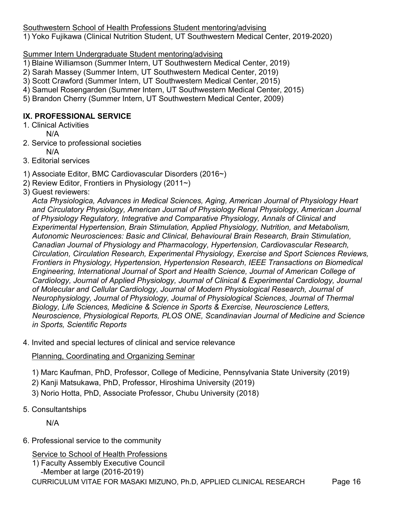Southwestern School of Health Professions Student mentoring/advising 1) Yoko Fujikawa (Clinical Nutrition Student, UT Southwestern Medical Center, 2019-2020)

Summer Intern Undergraduate Student mentoring/advising

- 1) Blaine Williamson (Summer Intern, UT Southwestern Medical Center, 2019)
- 2) Sarah Massey (Summer Intern, UT Southwestern Medical Center, 2019)
- 3) Scott Crawford (Summer Intern, UT Southwestern Medical Center, 2015)
- 4) Samuel Rosengarden (Summer Intern, UT Southwestern Medical Center, 2015)
- 5) Brandon Cherry (Summer Intern, UT Southwestern Medical Center, 2009)

#### IX. PROFESSIONAL SERVICE

- 1. Clinical Activities
- N/A 2. Service to professional societies
	- N/A
- 3. Editorial services
- 1) Associate Editor, BMC Cardiovascular Disorders (2016~)
- 2) Review Editor, Frontiers in Physiology (2011~)
- 3) Guest reviewers:

Acta Physiologica, Advances in Medical Sciences, Aging, American Journal of Physiology Heart and Circulatory Physiology, American Journal of Physiology Renal Physiology, American Journal of Physiology Regulatory, Integrative and Comparative Physiology, Annals of Clinical and Experimental Hypertension, Brain Stimulation, Applied Physiology, Nutrition, and Metabolism, Autonomic Neurosciences: Basic and Clinical, Behavioural Brain Research, Brain Stimulation, Canadian Journal of Physiology and Pharmacology, Hypertension, Cardiovascular Research, Circulation, Circulation Research, Experimental Physiology, Exercise and Sport Sciences Reviews, Frontiers in Physiology, Hypertension, Hypertension Research, IEEE Transactions on Biomedical Engineering, International Journal of Sport and Health Science, Journal of American College of Cardiology, Journal of Applied Physiology, Journal of Clinical & Experimental Cardiology, Journal of Molecular and Cellular Cardiology, Journal of Modern Physiological Research, Journal of Neurophysiology, Journal of Physiology, Journal of Physiological Sciences, Journal of Thermal Biology, Life Sciences, Medicine & Science in Sports & Exercise, Neuroscience Letters, Neuroscience, Physiological Reports, PLOS ONE, Scandinavian Journal of Medicine and Science in Sports, Scientific Reports

4. Invited and special lectures of clinical and service relevance

Planning, Coordinating and Organizing Seminar

- 1) Marc Kaufman, PhD, Professor, College of Medicine, Pennsylvania State University (2019)
- 2) Kanji Matsukawa, PhD, Professor, Hiroshima University (2019)
- 3) Norio Hotta, PhD, Associate Professor, Chubu University (2018)
- 5. Consultantships

N/A

6. Professional service to the community

Service to School of Health Professions

CURRICULUM VITAE FOR MASAKI MIZUNO, Ph.D, APPLIED CLINICAL RESEARCH Page 16 1) Faculty Assembly Executive Council -Member at large (2016-2019)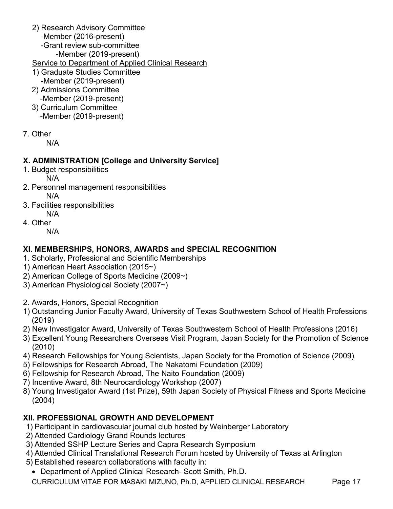- 2) Research Advisory Committee
	- -Member (2016-present)
	- -Grant review sub-committee
		- -Member (2019-present)
- Service to Department of Applied Clinical Research
- 1) Graduate Studies Committee
- -Member (2019-present) 2) Admissions Committee
- -Member (2019-present)
- 3) Curriculum Committee -Member (2019-present)
- 7. Other

N/A

## X. ADMINISTRATION [College and University Service]

- 1. Budget responsibilities
	- N/A
- 2. Personnel management responsibilities N/A
- 3. Facilities responsibilities N/A
- 4. Other
	- N/A

# XI. MEMBERSHIPS, HONORS, AWARDS and SPECIAL RECOGNITION

- 1. Scholarly, Professional and Scientific Memberships
- 1) American Heart Association (2015~)
- 2) American College of Sports Medicine (2009~)
- 3) American Physiological Society (2007~)
- 2. Awards, Honors, Special Recognition
- 1) Outstanding Junior Faculty Award, University of Texas Southwestern School of Health Professions (2019)
- 2) New Investigator Award, University of Texas Southwestern School of Health Professions (2016)
- 3) Excellent Young Researchers Overseas Visit Program, Japan Society for the Promotion of Science (2010)
- 4) Research Fellowships for Young Scientists, Japan Society for the Promotion of Science (2009)
- 5) Fellowships for Research Abroad, The Nakatomi Foundation (2009)
- 6) Fellowship for Research Abroad, The Naito Foundation (2009)
- 7) Incentive Award, 8th Neurocardiology Workshop (2007)
- 8) Young Investigator Award (1st Prize), 59th Japan Society of Physical Fitness and Sports Medicine (2004)

# XII. PROFESSIONAL GROWTH AND DEVELOPMENT

- 1) Participant in cardiovascular journal club hosted by Weinberger Laboratory
- 2) Attended Cardiology Grand Rounds lectures
- 3) Attended SSHP Lecture Series and Capra Research Symposium
- 4) Attended Clinical Translational Research Forum hosted by University of Texas at Arlington
- 5) Established research collaborations with faculty in:
- Department of Applied Clinical Research- Scott Smith, Ph.D.

CURRICULUM VITAE FOR MASAKI MIZUNO, Ph.D, APPLIED CLINICAL RESEARCH Page 17